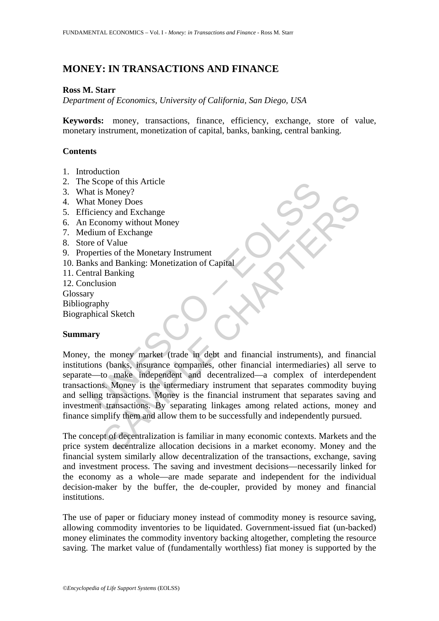# **MONEY: IN TRANSACTIONS AND FINANCE**

#### **Ross M. Starr**

*Department of Economics, University of California, San Diego, USA* 

**Keywords:** money, transactions, finance, efficiency, exchange, store of value, monetary instrument, monetization of capital, banks, banking, central banking.

### **Contents**

- 1. Introduction
- 2. The Scope of this Article
- 3. What is Money?
- 4. What Money Does
- 5. Efficiency and Exchange
- 6. An Economy without Money
- 7. Medium of Exchange
- 8. Store of Value
- 9. Properties of the Monetary Instrument
- 10. Banks and Banking: Monetization of Capital
- 11. Central Banking
- 12. Conclusion

Glossary

Bibliography

Biographical Sketch

### **Summary**

Scope of this Article<br>
at Money Poes<br>
at Money Poes<br>
eiency and Exchange<br>
Economy without Money<br>
Economy without Money<br>
Economy without Money<br>
lium of Exchange<br>
e of Value<br>
ks and Banking: Monetization of Capital<br>
tral Ban SHOW:<br>
SHOW DOS<br>
The Monety Dos<br>
and Exchange<br>
or Schange<br>
of the Monetary Instrument<br>
of Exchange<br>
of the Monetary Instrument<br>
of Nalue<br>
Show and Banking<br>
Show<br>
sion<br>
Show<br>
sion<br>
Show<br>
sion<br>
to make independent and decent Money, the money market (trade in debt and financial instruments), and financial institutions (banks, insurance companies, other financial intermediaries) all serve to separate—to make independent and decentralized—a complex of interdependent transactions. Money is the intermediary instrument that separates commodity buying and selling transactions. Money is the financial instrument that separates saving and investment transactions. By separating linkages among related actions, money and finance simplify them and allow them to be successfully and independently pursued.

The concept of decentralization is familiar in many economic contexts. Markets and the price system decentralize allocation decisions in a market economy. Money and the financial system similarly allow decentralization of the transactions, exchange, saving and investment process. The saving and investment decisions—necessarily linked for the economy as a whole—are made separate and independent for the individual decision-maker by the buffer, the de-coupler, provided by money and financial institutions.

The use of paper or fiduciary money instead of commodity money is resource saving, allowing commodity inventories to be liquidated. Government-issued fiat (un-backed) money eliminates the commodity inventory backing altogether, completing the resource saving. The market value of (fundamentally worthless) fiat money is supported by the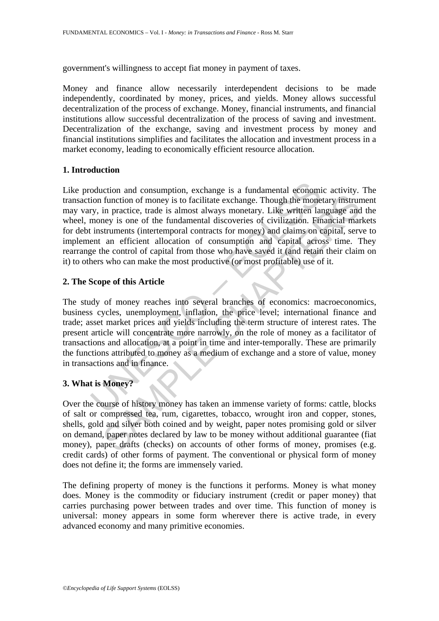government's willingness to accept fiat money in payment of taxes.

Money and finance allow necessarily interdependent decisions to be made independently, coordinated by money, prices, and yields. Money allows successful decentralization of the process of exchange. Money, financial instruments, and financial institutions allow successful decentralization of the process of saving and investment. Decentralization of the exchange, saving and investment process by money and financial institutions simplifies and facilitates the allocation and investment process in a market economy, leading to economically efficient resource allocation.

### **1. Introduction**

oduction and consumption, exchange is a fundamental economic consumption function of money is to facilitate exchange. Though the mone<br>ry, in practice, trade is almost always monetary. Like written lare<br>money is one of the function of money is to facilitate exchange. Though the monetary instrument in practice, trade is almost always monetary. Like written language and in practice, trade is almost always monetary. Like written language and is Like production and consumption, exchange is a fundamental economic activity. The transaction function of money is to facilitate exchange. Though the monetary instrument may vary, in practice, trade is almost always monetary. Like written language and the wheel, money is one of the fundamental discoveries of civilization. Financial markets for debt instruments (intertemporal contracts for money) and claims on capital, serve to implement an efficient allocation of consumption and capital across time. They rearrange the control of capital from those who have saved it (and retain their claim on it) to others who can make the most productive (or most profitable) use of it.

#### **2. The Scope of this Article**

The study of money reaches into several branches of economics: macroeconomics, business cycles, unemployment, inflation, the price level; international finance and trade; asset market prices and yields including the term structure of interest rates. The present article will concentrate more narrowly, on the role of money as a facilitator of transactions and allocation, at a point in time and inter-temporally. These are primarily the functions attributed to money as a medium of exchange and a store of value, money in transactions and in finance.

### **3. What is Money?**

Over the course of history money has taken an immense variety of forms: cattle, blocks of salt or compressed tea, rum, cigarettes, tobacco, wrought iron and copper, stones, shells, gold and silver both coined and by weight, paper notes promising gold or silver on demand, paper notes declared by law to be money without additional guarantee (fiat money), paper drafts (checks) on accounts of other forms of money, promises (e.g. credit cards) of other forms of payment. The conventional or physical form of money does not define it; the forms are immensely varied.

The defining property of money is the functions it performs. Money is what money does. Money is the commodity or fiduciary instrument (credit or paper money) that carries purchasing power between trades and over time. This function of money is universal: money appears in some form wherever there is active trade, in every advanced economy and many primitive economies.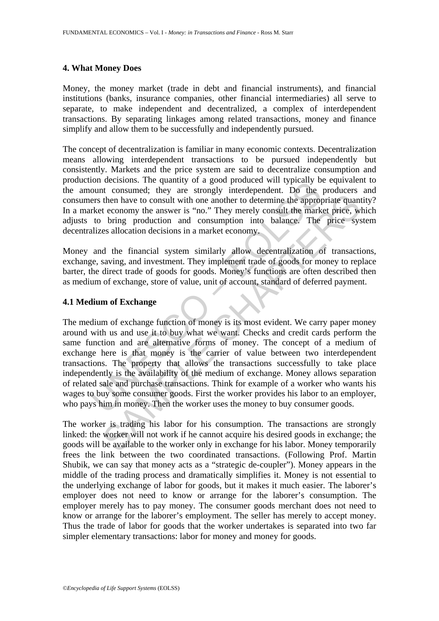#### **4. What Money Does**

Money, the money market (trade in debt and financial instruments), and financial institutions (banks, insurance companies, other financial intermediaries) all serve to separate, to make independent and decentralized, a complex of interdependent transactions. By separating linkages among related transactions, money and finance simplify and allow them to be successfully and independently pursued.

The concept of decentralization is familiar in many economic contexts. Decentralization means allowing interdependent transactions to be pursued independently but consistently. Markets and the price system are said to decentralize consumption and production decisions. The quantity of a good produced will typically be equivalent to the amount consumed; they are strongly interdependent. Do the producers and consumers then have to consult with one another to determine the appropriate quantity? In a market economy the answer is "no." They merely consult the market price, which adjusts to bring production and consumption into balance. The price system decentralizes allocation decisions in a market economy.

Money and the financial system similarly allow decentralization of transactions, exchange, saving, and investment. They implement trade of goods for money to replace barter, the direct trade of goods for goods. Money's functions are often described then as medium of exchange, store of value, unit of account, standard of deferred payment.

#### **4.1 Medium of Exchange**

For decisions. In equality of a good phoduced win typlecary<br>ount consumed; they are strongly interdependent. Do the<br>ers then have to consult with one another to determine the approprket<br>economy the answer is "no." They mer then have to consult with one another to determine the appropriate quant<br>then have to consult with one another to determine the appropriate quant<br>t economy the answer is "no." They merely consult the market price, w<br>bring The medium of exchange function of money is its most evident. We carry paper money around with us and use it to buy what we want. Checks and credit cards perform the same function and are alternative forms of money. The concept of a medium of exchange here is that money is the carrier of value between two interdependent transactions. The property that allows the transactions successfully to take place independently is the availability of the medium of exchange. Money allows separation of related sale and purchase transactions. Think for example of a worker who wants his wages to buy some consumer goods. First the worker provides his labor to an employer, who pays him in money. Then the worker uses the money to buy consumer goods.

The worker is trading his labor for his consumption. The transactions are strongly linked: the worker will not work if he cannot acquire his desired goods in exchange; the goods will be available to the worker only in exchange for his labor. Money temporarily frees the link between the two coordinated transactions. (Following Prof. Martin Shubik, we can say that money acts as a "strategic de-coupler"). Money appears in the middle of the trading process and dramatically simplifies it. Money is not essential to the underlying exchange of labor for goods, but it makes it much easier. The laborer's employer does not need to know or arrange for the laborer's consumption. The employer merely has to pay money. The consumer goods merchant does not need to know or arrange for the laborer's employment. The seller has merely to accept money. Thus the trade of labor for goods that the worker undertakes is separated into two far simpler elementary transactions: labor for money and money for goods.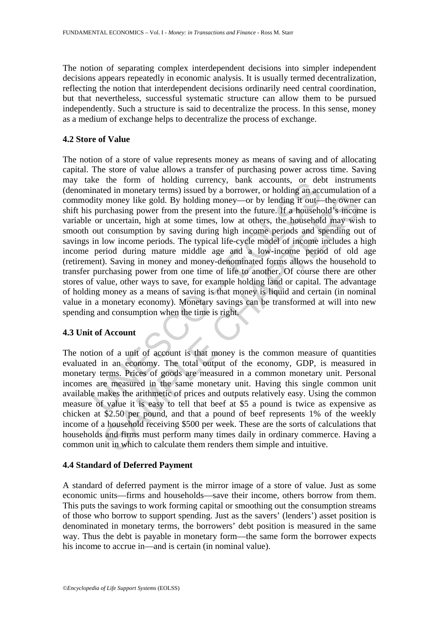The notion of separating complex interdependent decisions into simpler independent decisions appears repeatedly in economic analysis. It is usually termed decentralization, reflecting the notion that interdependent decisions ordinarily need central coordination, but that nevertheless, successful systematic structure can allow them to be pursued independently. Such a structure is said to decentralize the process. In this sense, money as a medium of exchange helps to decentralize the process of exchange.

#### **4.2 Store of Value**

Ke the form of nonday currely, bank accounts, of details<br>inated in monetary terms) issued by a borrower, or holding an accounting terms in<br>such that some present into the future. If a househol out consumption by saving dur The momentum in the present into the future. If a household's incom-<br>
in money like gold. By holding money—or by lending it out—the owner<br>
uncertain, high at some times, low at others, the household's incord<br>
uncertain, h The notion of a store of value represents money as means of saving and of allocating capital. The store of value allows a transfer of purchasing power across time. Saving may take the form of holding currency, bank accounts, or debt instruments (denominated in monetary terms) issued by a borrower, or holding an accumulation of a commodity money like gold. By holding money—or by lending it out—the owner can shift his purchasing power from the present into the future. If a household's income is variable or uncertain, high at some times, low at others, the household may wish to smooth out consumption by saving during high income periods and spending out of savings in low income periods. The typical life-cycle model of income includes a high income period during mature middle age and a low-income period of old age (retirement). Saving in money and money-denominated forms allows the household to transfer purchasing power from one time of life to another. Of course there are other stores of value, other ways to save, for example holding land or capital. The advantage of holding money as a means of saving is that money is liquid and certain (in nominal value in a monetary economy). Monetary savings can be transformed at will into new spending and consumption when the time is right.

### **4.3 Unit of Account**

The notion of a unit of account is that money is the common measure of quantities evaluated in an economy. The total output of the economy, GDP, is measured in monetary terms. Prices of goods are measured in a common monetary unit. Personal incomes are measured in the same monetary unit. Having this single common unit available makes the arithmetic of prices and outputs relatively easy. Using the common measure of value it is easy to tell that beef at \$5 a pound is twice as expensive as chicken at \$2.50 per pound, and that a pound of beef represents 1% of the weekly income of a household receiving \$500 per week. These are the sorts of calculations that households and firms must perform many times daily in ordinary commerce. Having a common unit in which to calculate them renders them simple and intuitive.

### **4.4 Standard of Deferred Payment**

A standard of deferred payment is the mirror image of a store of value. Just as some economic units—firms and households—save their income, others borrow from them. This puts the savings to work forming capital or smoothing out the consumption streams of those who borrow to support spending. Just as the savers' (lenders') asset position is denominated in monetary terms, the borrowers' debt position is measured in the same way. Thus the debt is payable in monetary form—the same form the borrower expects his income to accrue in—and is certain (in nominal value).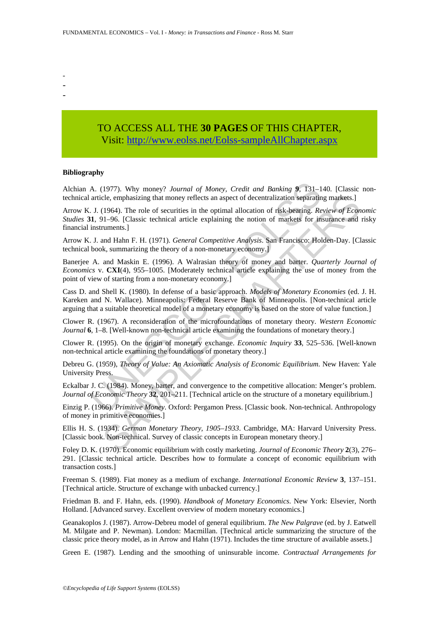- -
- -

## TO ACCESS ALL THE **30 PAGES** OF THIS CHAPTER, Visit[: http://www.eolss.net/Eolss-sampleAllChapter.aspx](https://www.eolss.net/ebooklib/sc_cart.aspx?File=E6-28B-03-04)

#### **Bibliography**

Alchian A. (1977). Why money? *Journal of Money, Credit and Banking* **9**, 131–140. [Classic nontechnical article, emphasizing that money reflects an aspect of decentralization separating markets.]

A. (1977). Why money? *Journal of Money, Credit and Banking* 9, 131–1<br>article, emphasizing that money reflects an aspect of decentralization separatin<br>J. (1964). The role of securities in the optimal allocation of risk-bea cle, emphasizing that money reflects an aspect of decentralization separating markets.]<br>
(1964). The role of securities in the optimal allocation of risk-bearing. *Review of Econ*<br>
11-96. [Classic technical article explai Arrow K. J. (1964). The role of securities in the optimal allocation of risk-bearing. *Review of Economic Studies* **31**, 91–96. [Classic technical article explaining the notion of markets for insurance and risky financial instruments.]

Arrow K. J. and Hahn F. H. (1971). *General Competitive Analysis*. San Francisco: Holden-Day. [Classic technical book, summarizing the theory of a non-monetary economy.]

Banerjee A. and Maskin E. (1996). A Walrasian theory of money and barter. *Quarterly Journal of Economics* v. **CXI**(4), 955–1005. [Moderately technical article explaining the use of money from the point of view of starting from a non-monetary economy.]

Cass D. and Shell K. (1980). In defense of a basic approach. *Models of Monetary Economies* (ed. J. H. Kareken and N. Wallace). Minneapolis: Federal Reserve Bank of Minneapolis. [Non-technical article arguing that a suitable theoretical model of a monetary economy is based on the store of value function.]

Clower R. (1967). A reconsideration of the microfoundations of monetary theory. *Western Economic Journal* **6**, 1–8. [Well-known non-technical article examining the foundations of monetary theory.]

Clower R. (1995). On the origin of monetary exchange. *Economic Inquiry* **33**, 525–536. [Well-known non-technical article examining the foundations of monetary theory.]

Debreu G. (1959), *Theory of Value: An Axiomatic Analysis of Economic Equilibrium*. New Haven: Yale University Press.

Eckalbar J. C. (1984). Money, barter, and convergence to the competitive allocation: Menger's problem. *Journal of Economic Theory* 32, 201–211. [Technical article on the structure of a monetary equilibrium.]

Einzig P. (1966). *Primitive Money*. Oxford: Pergamon Press. [Classic book. Non-technical. Anthropology of money in primitive economies.]

Ellis H. S. (1934). *German Monetary Theory, 1905–1933*. Cambridge, MA: Harvard University Press. [Classic book. Non-technical. Survey of classic concepts in European monetary theory.]

Foley D. K. (1970). Economic equilibrium with costly marketing. *Journal of Economic Theory* **2**(3), 276– 291. [Classic technical article. Describes how to formulate a concept of economic equilibrium with transaction costs.]

Freeman S. (1989). Fiat money as a medium of exchange. *International Economic Review* **3**, 137–151. [Technical article. Structure of exchange with unbacked currency.]

Friedman B. and F. Hahn, eds. (1990). *Handbook of Monetary Economics*. New York: Elsevier, North Holland. [Advanced survey. Excellent overview of modern monetary economics.]

Geanakoplos J. (1987). Arrow-Debreu model of general equilibrium. *The New Palgrave* (ed. by J. Eatwell M. Milgate and P. Newman). London: Macmillan. [Technical article summarizing the structure of the classic price theory model, as in Arrow and Hahn (1971). Includes the time structure of available assets.]

Green E. (1987). Lending and the smoothing of uninsurable income. *Contractual Arrangements for*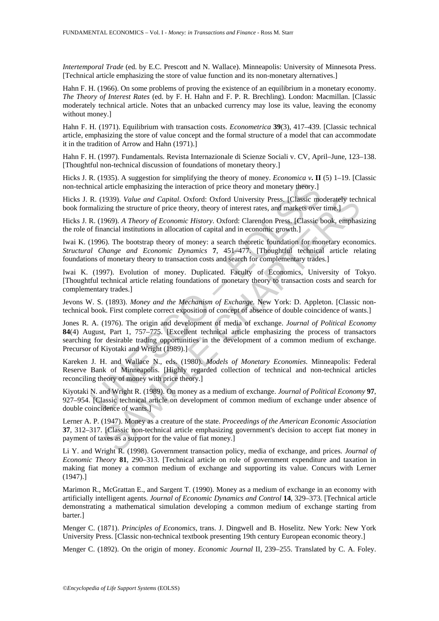*Intertemporal Trade* (ed. by E.C. Prescott and N. Wallace). Minneapolis: University of Minnesota Press. [Technical article emphasizing the store of value function and its non-monetary alternatives.]

Hahn F. H. (1966). On some problems of proving the existence of an equilibrium in a monetary economy. *The Theory of Interest Rates* (ed. by F. H. Hahn and F. P. R. Brechling). London: Macmillan. [Classic moderately technical article. Notes that an unbacked currency may lose its value, leaving the economy without money.]

Hahn F. H. (1971). Equilibrium with transaction costs. *Econometrica* **39**(3), 417–439. [Classic technical article, emphasizing the store of value concept and the formal structure of a model that can accommodate it in the tradition of Arrow and Hahn (1971).]

Hahn F. H. (1997). Fundamentals. Revista Internazionale di Scienze Sociali v. CV, April–June, 123–138. [Thoughtful non-technical discussion of foundations of monetary theory.]

Hicks J. R. (1935). A suggestion for simplifying the theory of money. *Economica v***. II** (5) 1–19. [Classic non-technical article emphasizing the interaction of price theory and monetary theory.]

Hicks J. R. (1939). *Value and Capital*. Oxford: Oxford University Press. [Classic moderately technical book formalizing the structure of price theory, theory of interest rates, and markets over time.]

Hicks J. R. (1969). *A Theory of Economic History*. Oxford: Clarendon Press. [Classic book, emphasizing the role of financial institutions in allocation of capital and in economic growth.]

Iwai K. (1996). The bootstrap theory of money: a search theoretic foundation for monetary economics. *Structural Change and Economic Dynamics* **7**, 451–477. [Thoughtful technical article relating foundations of monetary theory to transaction costs and search for complementary trades.]

Iwai K. (1997). Evolution of money. Duplicated. Faculty of Economics, University of Tokyo. [Thoughtful technical article relating foundations of monetary theory to transaction costs and search for complementary trades.]

Jevons W. S. (1893). *Money and the Mechanism of Exchange*. New York: D. Appleton. [Classic nontechnical book. First complete correct exposition of concept of absence of double coincidence of wants.]

incel article emphasizing the interaction of price theory and monetary theory.<br>
R. (1939). Value and Capital. Oxford: Oxford University Press. [Classic monalizing the structure of price theory, theory of interest rates, a 1939). Value and Capital. Oxford: Oxford University Press. [Classic moderately tech<br>ing the structure of price theory, theory of interest rates, and markets over time.]<br>1969). A Theory of Economic History. Oxford: Clarend Jones R. A. (1976). The origin and development of media of exchange. *Journal of Political Economy* **84**(4) August, Part 1, 757–775. [Excellent technical article emphasizing the process of transactors searching for desirable trading opportunities in the development of a common medium of exchange. Precursor of Kiyotaki and Wright (1989).]

Kareken J. H. and Wallace N., eds. (1980). *Models of Monetary Economies*. Minneapolis: Federal Reserve Bank of Minneapolis. [Highly regarded collection of technical and non-technical articles reconciling theory of money with price theory.]

Kiyotaki N. and Wright R. (1989). On money as a medium of exchange. *Journal of Political Economy* **97**, 927–954. [Classic technical article on development of common medium of exchange under absence of double coincidence of wants.]

Lerner A. P. (1947). Money as a creature of the state. *Proceedings of the American Economic Association* **37**, 312–317. [Classic non-technical article emphasizing government's decision to accept fiat money in payment of taxes as a support for the value of fiat money.]

Li Y. and Wright R. (1998). Government transaction policy, media of exchange, and prices. *Journal of Economic Theory* **81**, 290–313. [Technical article on role of government expenditure and taxation in making fiat money a common medium of exchange and supporting its value. Concurs with Lerner (1947).]

Marimon R., McGrattan E., and Sargent T. (1990). Money as a medium of exchange in an economy with artificially intelligent agents. *Journal of Economic Dynamics and Control* **14**, 329–373. [Technical article demonstrating a mathematical simulation developing a common medium of exchange starting from barter.]

Menger C. (1871). *Principles of Economics*, trans. J. Dingwell and B. Hoselitz. New York: New York University Press. [Classic non-technical textbook presenting 19th century European economic theory.]

Menger C. (1892). On the origin of money. *Economic Journal* II, 239–255. Translated by C. A. Foley.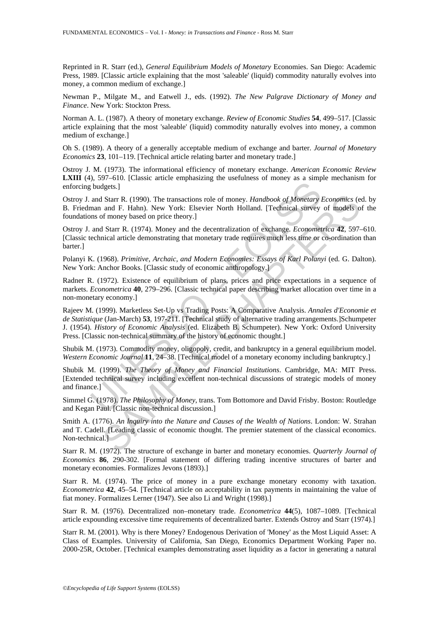Reprinted in R. Starr (ed.), *General Equilibrium Models of Monetary* Economies. San Diego: Academic Press, 1989. [Classic article explaining that the most 'saleable' (liquid) commodity naturally evolves into money, a common medium of exchange.]

Newman P., Milgate M., and Eatwell J., eds. (1992). *The New Palgrave Dictionary of Money and Finance*. New York: Stockton Press.

Norman A. L. (1987). A theory of monetary exchange. *Review of Economic Studies* **54**, 499–517. [Classic article explaining that the most 'saleable' (liquid) commodity naturally evolves into money, a common medium of exchange.]

Oh S. (1989). A theory of a generally acceptable medium of exchange and barter. *Journal of Monetary Economics* **23**, 101–119. [Technical article relating barter and monetary trade.]

Ostroy J. M. (1973). The informational efficiency of monetary exchange. *American Economic Review* **LXIII** (4), 597–610. [Classic article emphasizing the usefulness of money as a simple mechanism for enforcing budgets.]

Ostroy J. and Starr R. (1990). The transactions role of money. *Handbook of Monetary Economics* (ed. by B. Friedman and F. Hahn). New York: Elsevier North Holland. [Technical survey of models of the foundations of money based on price theory.]

Ostroy J. and Starr R. (1974). Money and the decentralization of exchange. *Econometrica* **42**, 597–610. [Classic technical article demonstrating that monetary trade requires much less time or co-ordination than barter.]

Polanyi K. (1968). *Primitive, Archaic, and Modern Economies: Essays of Karl Polanyi* (ed. G. Dalton). New York: Anchor Books. [Classic study of economic anthropology.]

Radner R. (1972). Existence of equilibrium of plans, prices and price expectations in a sequence of markets. *Econometrica* **40**, 279–296. [Classic technical paper describing market allocation over time in a non-monetary economy.]

budgets.]<br>
and Starr R. (1990). The transactions role of money. *Handbook of Monetary*<br>
inan and F. Hahn). New York: Elsevier North Holland. [Technical survey<br>
and Starr R. (1974). Money and the decentralization of exchan I Starr R. (1990). The transactions role of money. *Handbook of Monetary Economics* (e and F. Hahn). New York: Elsevier North Holland. [Technical survey of models of money based on price theory.]<br>
and T. Hahn, New York: E Rajeev M. (1999). Marketless Set-Up vs Trading Posts: A Comparative Analysis. *Annales d'Economie et de Statistique* (Jan-March) **53**, 197-211. [Technical study of alternative trading arrangements.]Schumpeter J. (1954). *History of Economic Analysis* (ed. Elizabeth B. Schumpeter). New York: Oxford University Press. [Classic non-technical summary of the history of economic thought.]

Shubik M. (1973). Commodity money, oligopoly, credit, and bankruptcy in a general equilibrium model. *Western Economic Journal* **11**, 24–38. [Technical model of a monetary economy including bankruptcy.]

Shubik M. (1999). *The Theory of Money and Financial Institutions*. Cambridge, MA: MIT Press. [Extended technical survey including excellent non-technical discussions of strategic models of money and finance.]

Simmel G. (1978). *The Philosophy of Money*, trans. Tom Bottomore and David Frisby. Boston: Routledge and Kegan Paul. [Classic non-technical discussion.]

Smith A. (1776). *An lnquiry into the Nature and Causes of the Wealth of Nations*. London: W. Strahan and T. Cadell. [Leading classic of economic thought. The premier statement of the classical economics. Non-technical.]

Starr R. M. (1972). The structure of exchange in barter and monetary economies. *Quarterly Journal of Economics* **86**, 290-302. [Formal statement of differing trading incentive structures of barter and monetary economies. Formalizes Jevons (1893).]

Starr R. M. (1974). The price of money in a pure exchange monetary economy with taxation. *Econometrica* **42**, 45–54. [Technical article on acceptability in tax payments in maintaining the value of fiat money. Formalizes Lerner (1947). See also Li and Wright (1998).]

Starr R. M. (1976). Decentralized non–monetary trade. *Econometrica* **44**(5), 1087–1089. [Technical article expounding excessive time requirements of decentralized barter. Extends Ostroy and Starr (1974).]

Starr R. M. (2001). Why is there Money? Endogenous Derivation of 'Money' as the Most Liquid Asset: A Class of Examples. University of California, San Diego, Economics Department Working Paper no. 2000-25R, October. [Technical examples demonstrating asset liquidity as a factor in generating a natural